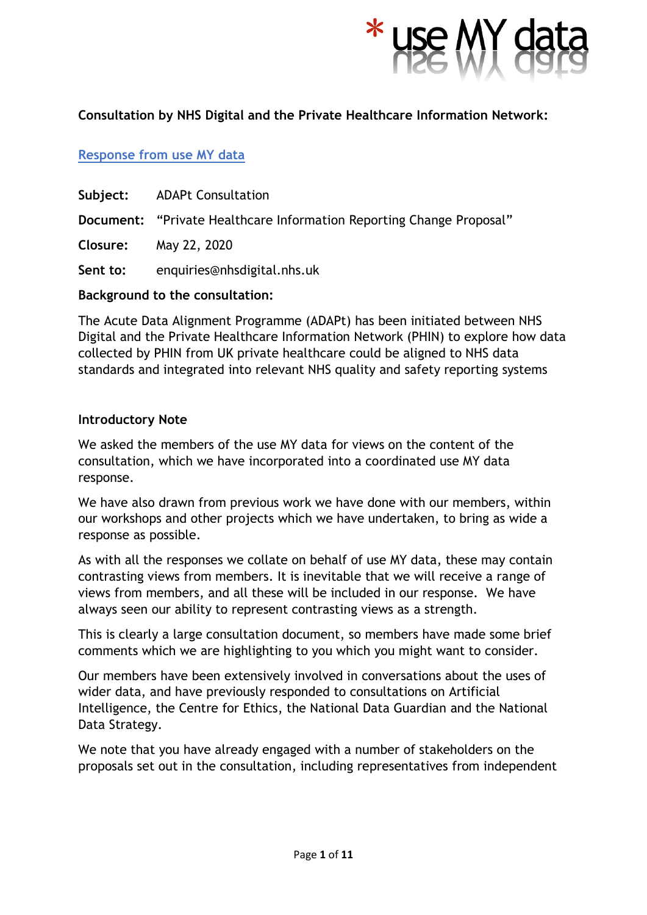

# **Consultation by NHS Digital and the Private Healthcare Information Network:**

# **Response from use MY data**

- **Subject:** ADAPt Consultation
- **Document:** "Private Healthcare Information Reporting Change Proposal"
- **Closure:** May 22, 2020

**Sent to:** enquiries@nhsdigital.nhs.uk

# **Background to the consultation:**

The Acute Data Alignment Programme (ADAPt) has been initiated between NHS Digital and the Private Healthcare Information Network (PHIN) to explore how data collected by PHIN from UK private healthcare could be aligned to NHS data standards and integrated into relevant NHS quality and safety reporting systems

#### **Introductory Note**

We asked the members of the use MY data for views on the content of the consultation, which we have incorporated into a coordinated use MY data response.

We have also drawn from previous work we have done with our members, within our workshops and other projects which we have undertaken, to bring as wide a response as possible.

As with all the responses we collate on behalf of use MY data, these may contain contrasting views from members. It is inevitable that we will receive a range of views from members, and all these will be included in our response. We have always seen our ability to represent contrasting views as a strength.

This is clearly a large consultation document, so members have made some brief comments which we are highlighting to you which you might want to consider.

Our members have been extensively involved in conversations about the uses of wider data, and have previously responded to consultations on Artificial Intelligence, the Centre for Ethics, the National Data Guardian and the National Data Strategy.

We note that you have already engaged with a number of stakeholders on the proposals set out in the consultation, including representatives from independent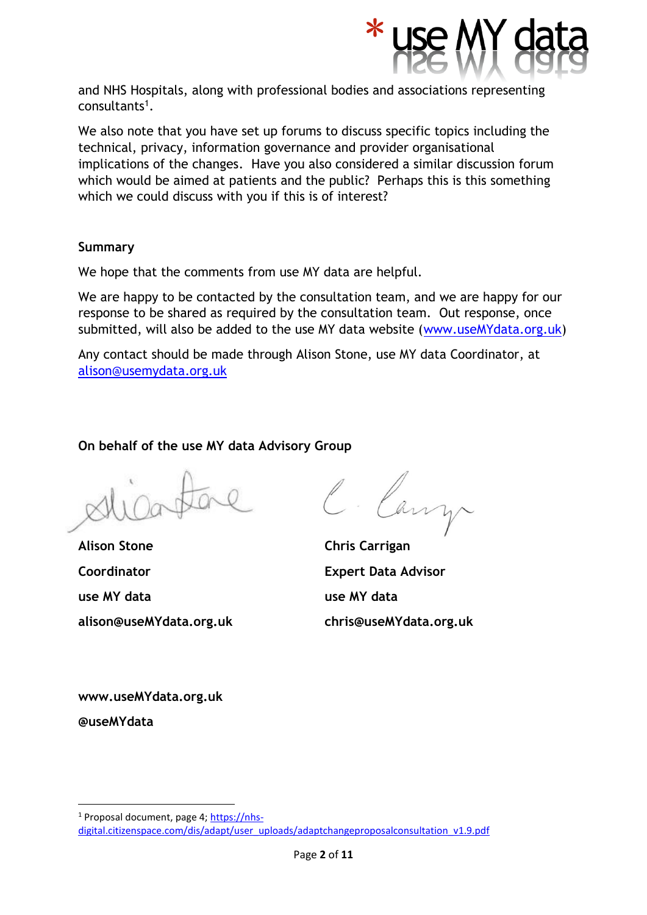

and NHS Hospitals, along with professional bodies and associations representing consultants<sup>1</sup>.

We also note that you have set up forums to discuss specific topics including the technical, privacy, information governance and provider organisational implications of the changes. Have you also considered a similar discussion forum which would be aimed at patients and the public? Perhaps this is this something which we could discuss with you if this is of interest?

# **Summary**

We hope that the comments from use MY data are helpful.

We are happy to be contacted by the consultation team, and we are happy for our response to be shared as required by the consultation team. Out response, once submitted, will also be added to the use MY data website [\(www.useMYdata.org.uk\)](http://www.usemydata.org.uk/)

Any contact should be made through Alison Stone, use MY data Coordinator, at [alison@usemydata.org.uk](mailto:alison@usemydata.org.uk)

**On behalf of the use MY data Advisory Group**

**Alison Stone Chris Carrigan Coordinator Expert Data Advisor use MY data use MY data alison@useMYdata.org.uk chris@useMYdata.org.uk**

**www.useMYdata.org.uk** 

**@useMYdata** 

<sup>1</sup> Proposal document, page 4[; https://nhs](https://nhs-digital.citizenspace.com/dis/adapt/user_uploads/adaptchangeproposalconsultation_v1.9.pdf)[digital.citizenspace.com/dis/adapt/user\\_uploads/adaptchangeproposalconsultation\\_v1.9.pdf](https://nhs-digital.citizenspace.com/dis/adapt/user_uploads/adaptchangeproposalconsultation_v1.9.pdf)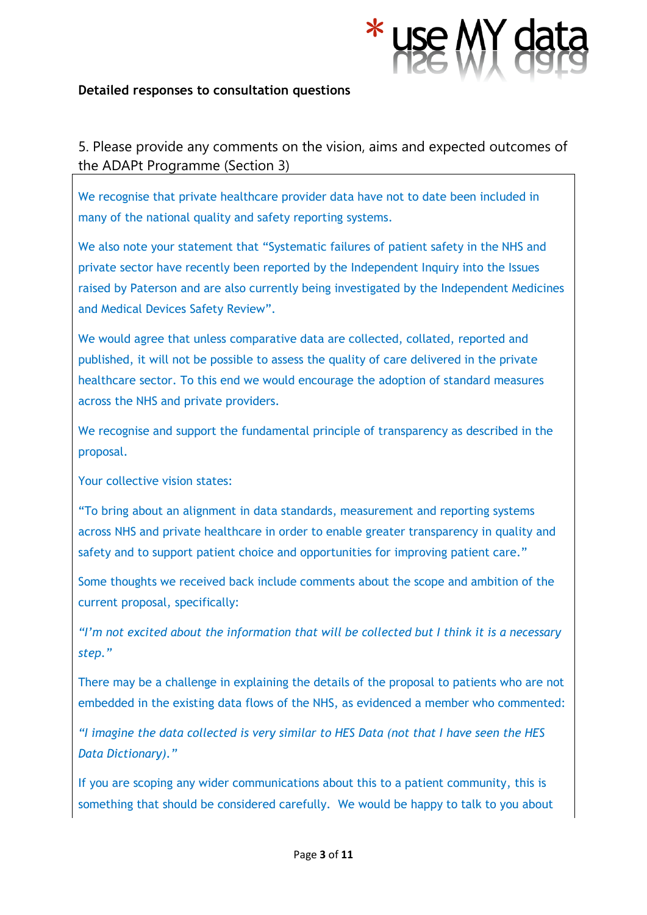

#### **Detailed responses to consultation questions**

5. Please provide any comments on the vision, aims and expected outcomes of the ADAPt Programme (Section 3)

We recognise that private healthcare provider data have not to date been included in many of the national quality and safety reporting systems.

We also note your statement that "Systematic failures of patient safety in the NHS and private sector have recently been reported by the Independent Inquiry into the Issues raised by Paterson and are also currently being investigated by the Independent Medicines and Medical Devices Safety Review".

We would agree that unless comparative data are collected, collated, reported and published, it will not be possible to assess the quality of care delivered in the private healthcare sector. To this end we would encourage the adoption of standard measures across the NHS and private providers.

We recognise and support the fundamental principle of transparency as described in the proposal.

Your collective vision states:

"To bring about an alignment in data standards, measurement and reporting systems across NHS and private healthcare in order to enable greater transparency in quality and safety and to support patient choice and opportunities for improving patient care."

Some thoughts we received back include comments about the scope and ambition of the current proposal, specifically:

*"I'm not excited about the information that will be collected but I think it is a necessary step."*

There may be a challenge in explaining the details of the proposal to patients who are not embedded in the existing data flows of the NHS, as evidenced a member who commented:

*"I imagine the data collected is very similar to HES Data (not that I have seen the HES Data Dictionary)."*

If you are scoping any wider communications about this to a patient community, this is something that should be considered carefully. We would be happy to talk to you about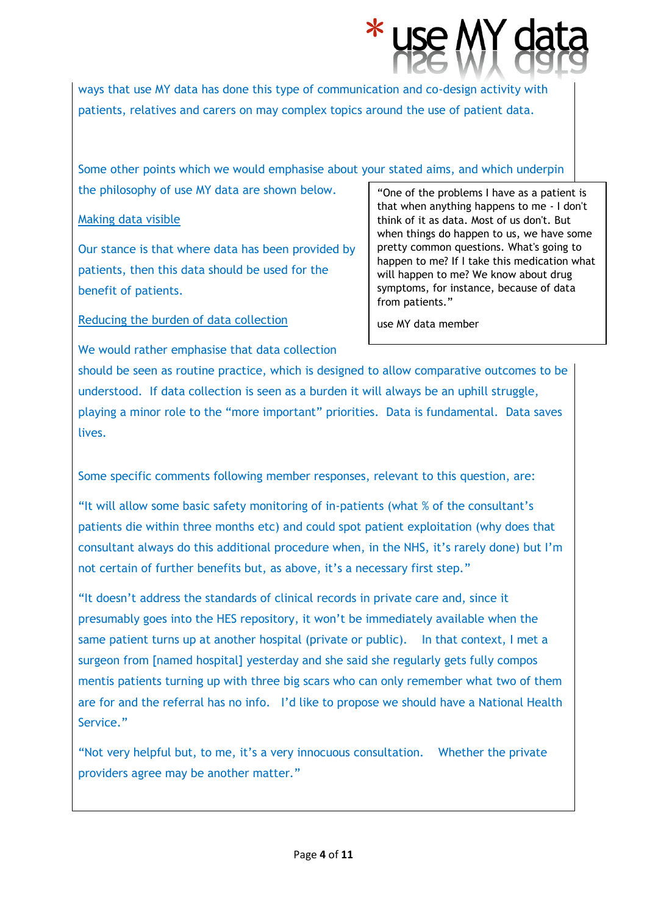

Some other points which we would emphasise about your stated aims, and which underpin the philosophy of use MY data are shown below.

#### Making data visible

Our stance is that where data has been provided by patients, then this data should be used for the benefit of patients.

We would rather emphasise that data collection

Reducing the burden of data collection

"One of the problems I have as a patient is that when anything happens to me - I don't think of it as data. Most of us don't. But when things do happen to us, we have some pretty common questions. What's going to happen to me? If I take this medication what will happen to me? We know about drug symptoms, for instance, because of data from patients."

use MY data member

should be seen as routine practice, which is designed to allow comparative outcomes to be understood. If data collection is seen as a burden it will always be an uphill struggle, playing a minor role to the "more important" priorities. Data is fundamental. Data saves lives.

Some specific comments following member responses, relevant to this question, are:

"It will allow some basic safety monitoring of in-patients (what % of the consultant's patients die within three months etc) and could spot patient exploitation (why does that consultant always do this additional procedure when, in the NHS, it's rarely done) but I'm not certain of further benefits but, as above, it's a necessary first step."

"It doesn't address the standards of clinical records in private care and, since it presumably goes into the HES repository, it won't be immediately available when the same patient turns up at another hospital (private or public). In that context, I met a surgeon from [named hospital] yesterday and she said she regularly gets fully compos mentis patients turning up with three big scars who can only remember what two of them are for and the referral has no info. I'd like to propose we should have a National Health Service."

"Not very helpful but, to me, it's a very innocuous consultation. Whether the private providers agree may be another matter."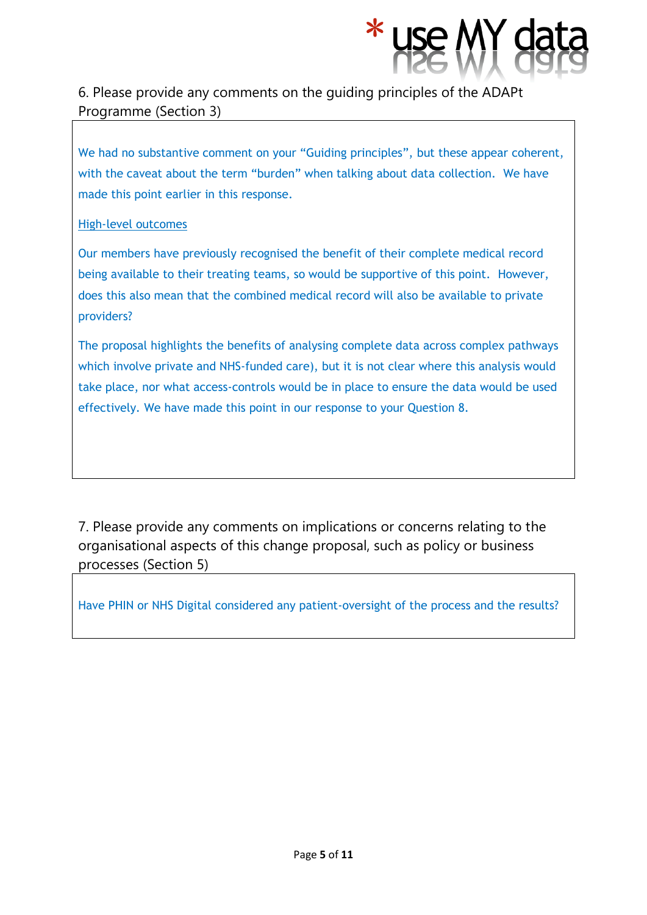

# 6. Please provide any comments on the guiding principles of the ADAPt Programme (Section 3)

We had no substantive comment on your "Guiding principles", but these appear coherent, with the caveat about the term "burden" when talking about data collection. We have made this point earlier in this response.

# High-level outcomes

Our members have previously recognised the benefit of their complete medical record being available to their treating teams, so would be supportive of this point. However, does this also mean that the combined medical record will also be available to private providers?

The proposal highlights the benefits of analysing complete data across complex pathways which involve private and NHS-funded care), but it is not clear where this analysis would take place, nor what access-controls would be in place to ensure the data would be used effectively. We have made this point in our response to your Question 8.

7. Please provide any comments on implications or concerns relating to the organisational aspects of this change proposal, such as policy or business processes (Section 5)

Have PHIN or NHS Digital considered any patient-oversight of the process and the results?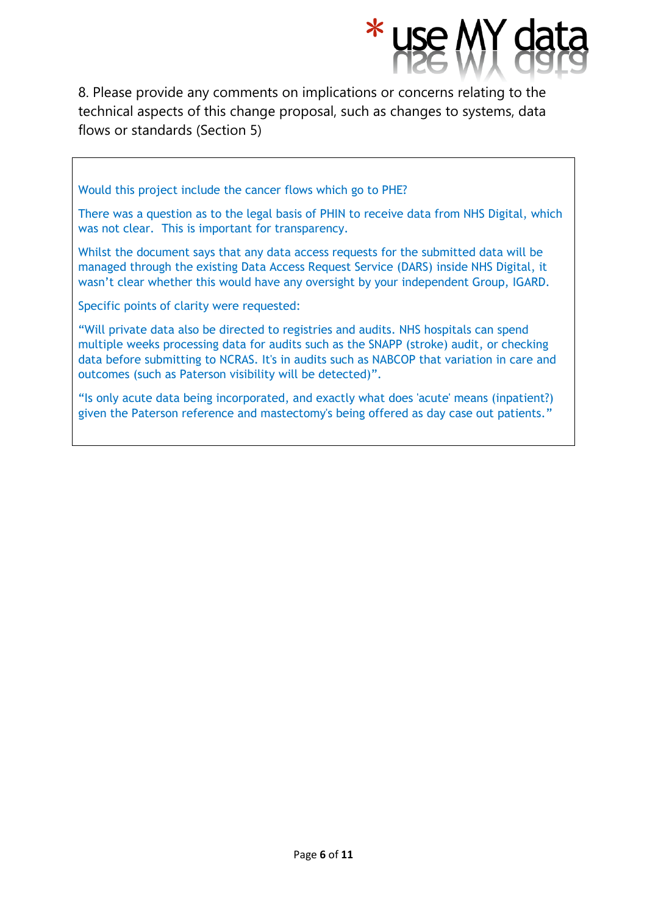8. Please provide any comments on implications or concerns relating to the technical aspects of this change proposal, such as changes to systems, data flows or standards (Section 5)

Would this project include the cancer flows which go to PHE?

There was a question as to the legal basis of PHIN to receive data from NHS Digital, which was not clear. This is important for transparency.

Whilst the document says that any data access requests for the submitted data will be managed through the existing Data Access Request Service (DARS) inside NHS Digital, it wasn't clear whether this would have any oversight by your independent Group, IGARD.

Specific points of clarity were requested:

"Will private data also be directed to registries and audits. NHS hospitals can spend multiple weeks processing data for audits such as the SNAPP (stroke) audit, or checking data before submitting to NCRAS. It's in audits such as NABCOP that variation in care and outcomes (such as Paterson visibility will be detected)".

"Is only acute data being incorporated, and exactly what does 'acute' means (inpatient?) given the Paterson reference and mastectomy's being offered as day case out patients."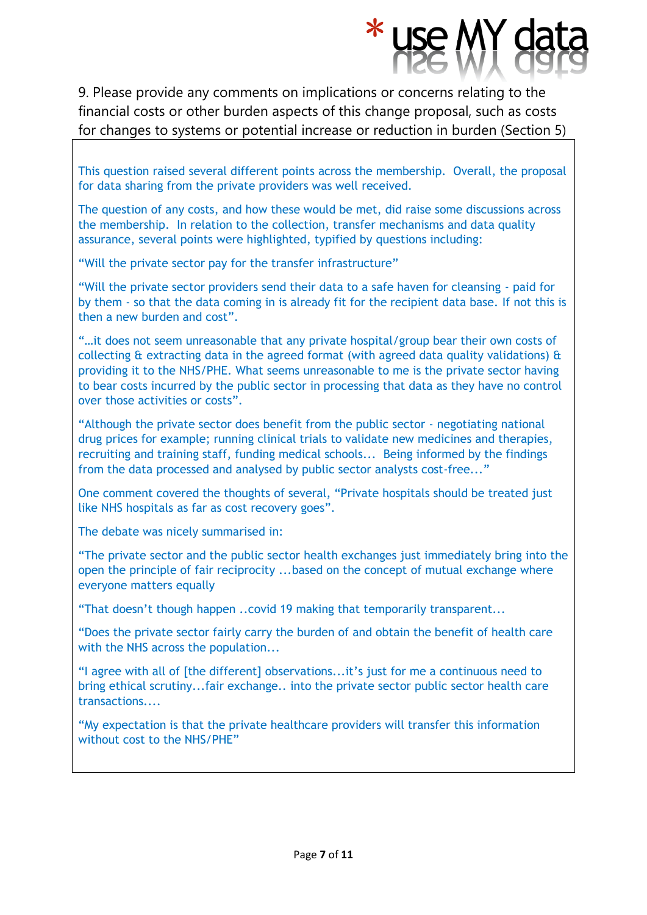9. Please provide any comments on implications or concerns relating to the financial costs or other burden aspects of this change proposal, such as costs for changes to systems or potential increase or reduction in burden (Section 5)

This question raised several different points across the membership. Overall, the proposal for data sharing from the private providers was well received.

The question of any costs, and how these would be met, did raise some discussions across the membership. In relation to the collection, transfer mechanisms and data quality assurance, several points were highlighted, typified by questions including:

"Will the private sector pay for the transfer infrastructure"

"Will the private sector providers send their data to a safe haven for cleansing - paid for by them - so that the data coming in is already fit for the recipient data base. If not this is then a new burden and cost".

"…it does not seem unreasonable that any private hospital/group bear their own costs of collecting  $\alpha$  extracting data in the agreed format (with agreed data quality validations)  $\alpha$ providing it to the NHS/PHE. What seems unreasonable to me is the private sector having to bear costs incurred by the public sector in processing that data as they have no control over those activities or costs".

"Although the private sector does benefit from the public sector - negotiating national drug prices for example; running clinical trials to validate new medicines and therapies, recruiting and training staff, funding medical schools... Being informed by the findings from the data processed and analysed by public sector analysts cost-free..."

One comment covered the thoughts of several, "Private hospitals should be treated just like NHS hospitals as far as cost recovery goes".

The debate was nicely summarised in:

"The private sector and the public sector health exchanges just immediately bring into the open the principle of fair reciprocity ...based on the concept of mutual exchange where everyone matters equally

"That doesn't though happen ..covid 19 making that temporarily transparent...

"Does the private sector fairly carry the burden of and obtain the benefit of health care with the NHS across the population...

"I agree with all of [the different] observations...it's just for me a continuous need to bring ethical scrutiny...fair exchange.. into the private sector public sector health care transactions....

"My expectation is that the private healthcare providers will transfer this information without cost to the NHS/PHE"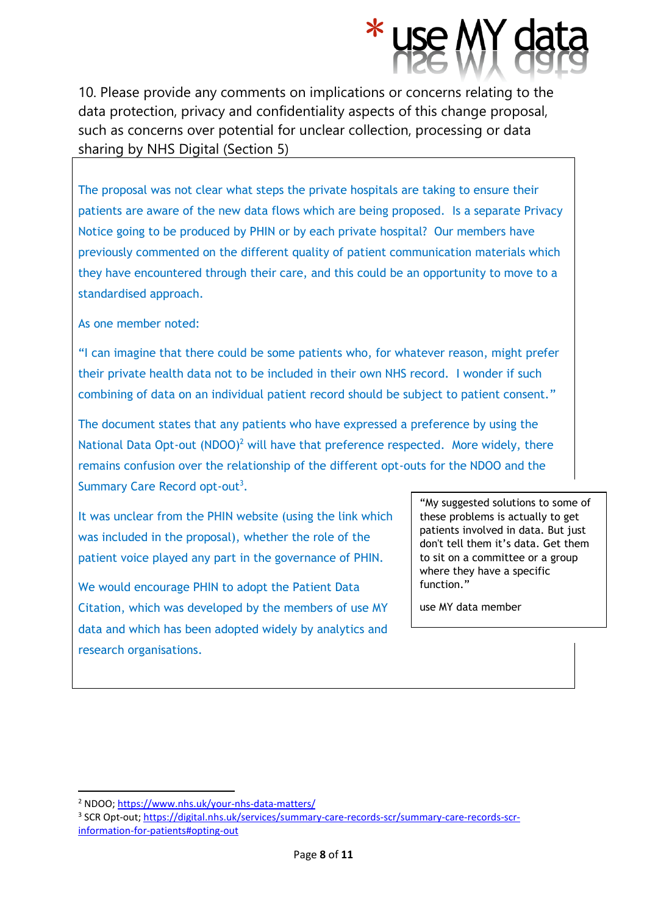10. Please provide any comments on implications or concerns relating to the data protection, privacy and confidentiality aspects of this change proposal, such as concerns over potential for unclear collection, processing or data sharing by NHS Digital (Section 5)

The proposal was not clear what steps the private hospitals are taking to ensure their patients are aware of the new data flows which are being proposed. Is a separate Privacy Notice going to be produced by PHIN or by each private hospital? Our members have previously commented on the different quality of patient communication materials which they have encountered through their care, and this could be an opportunity to move to a standardised approach.

As one member noted:

"I can imagine that there could be some patients who, for whatever reason, might prefer their private health data not to be included in their own NHS record. I wonder if such combining of data on an individual patient record should be subject to patient consent."

The document states that any patients who have expressed a preference by using the National Data Opt-out  $(NDOO)^2$  will have that preference respected. More widely, there remains confusion over the relationship of the different opt-outs for the NDOO and the Summary Care Record opt-out<sup>3</sup>.

It was unclear from the PHIN website (using the link which was included in the proposal), whether the role of the patient voice played any part in the governance of PHIN.

We would encourage PHIN to adopt the Patient Data Citation, which was developed by the members of use MY data and which has been adopted widely by analytics and research organisations.

"My suggested solutions to some of these problems is actually to get patients involved in data. But just don't tell them it's data. Get them to sit on a committee or a group where they have a specific function."

use MY data member

<sup>2</sup> NDOO;<https://www.nhs.uk/your-nhs-data-matters/>

<sup>&</sup>lt;sup>3</sup> SCR Opt-out; [https://digital.nhs.uk/services/summary-care-records-scr/summary-care-records-scr](https://digital.nhs.uk/services/summary-care-records-scr/summary-care-records-scr-information-for-patients#opting-out)[information-for-patients#opting-out](https://digital.nhs.uk/services/summary-care-records-scr/summary-care-records-scr-information-for-patients#opting-out)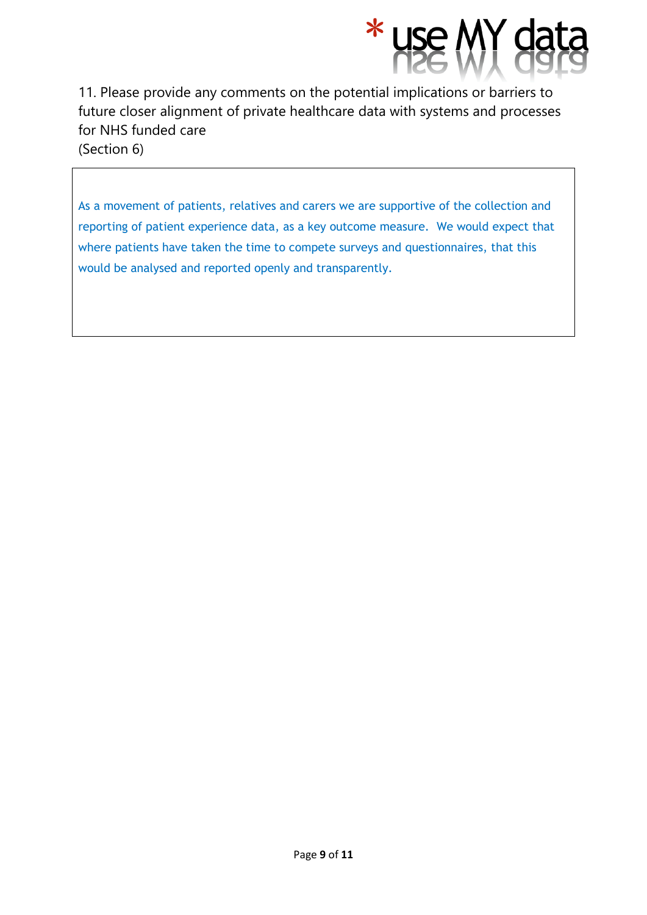

11. Please provide any comments on the potential implications or barriers to future closer alignment of private healthcare data with systems and processes for NHS funded care (Section 6)

As a movement of patients, relatives and carers we are supportive of the collection and reporting of patient experience data, as a key outcome measure. We would expect that where patients have taken the time to compete surveys and questionnaires, that this would be analysed and reported openly and transparently.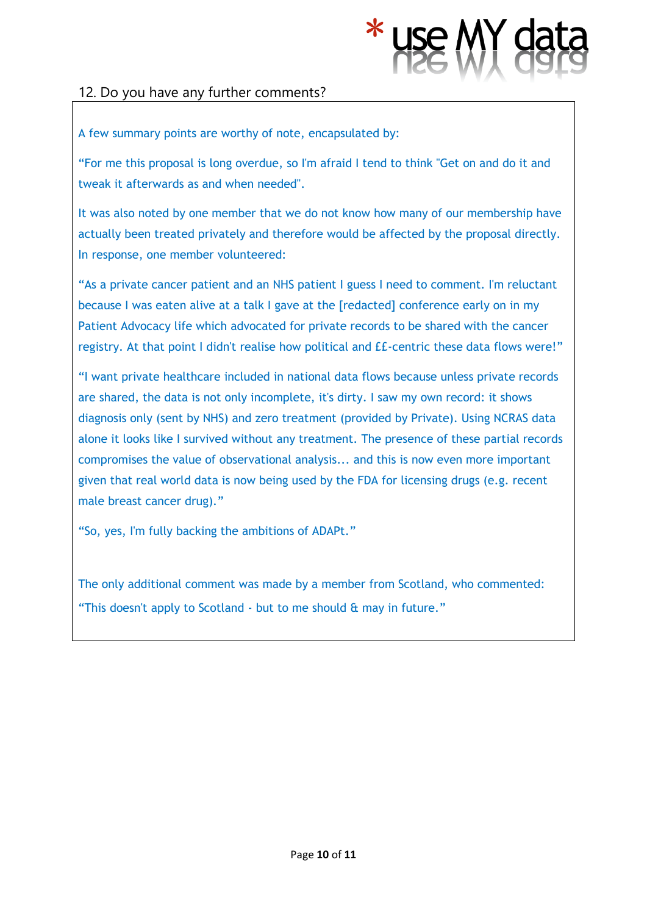

# 12. Do you have any further comments?

#### A few summary points are worthy of note, encapsulated by:

"For me this proposal is long overdue, so I'm afraid I tend to think "Get on and do it and tweak it afterwards as and when needed".

It was also noted by one member that we do not know how many of our membership have actually been treated privately and therefore would be affected by the proposal directly. In response, one member volunteered:

"As a private cancer patient and an NHS patient I guess I need to comment. I'm reluctant because I was eaten alive at a talk I gave at the [redacted] conference early on in my Patient Advocacy life which advocated for private records to be shared with the cancer registry. At that point I didn't realise how political and ££-centric these data flows were!"

"I want private healthcare included in national data flows because unless private records are shared, the data is not only incomplete, it's dirty. I saw my own record: it shows diagnosis only (sent by NHS) and zero treatment (provided by Private). Using NCRAS data alone it looks like I survived without any treatment. The presence of these partial records compromises the value of observational analysis... and this is now even more important given that real world data is now being used by the FDA for licensing drugs (e.g. recent male breast cancer drug)."

"So, yes, I'm fully backing the ambitions of ADAPt."

The only additional comment was made by a member from Scotland, who commented: "This doesn't apply to Scotland - but to me should & may in future."